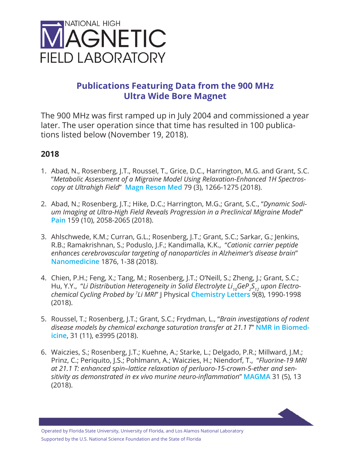

# **Publications Featuring Data from the 900 MHz Ultra Wide Bore Magnet**

The 900 MHz was first ramped up in July 2004 and commissioned a year later. The user operation since that time has resulted in 100 publications listed below (November 19, 2018).

## **2018**

- 1. Abad, N., Rosenberg, J.T., Roussel, T., Grice, D.C., Harrington, M.G. and Grant, S.C. "*Metabolic Assessment of a Migraine Model Using Relaxation-Enhanced 1H Spectroscopy at Ultrahigh Field*" **Magn Reson Med** 79 (3), 1266-1275 (2018).
- 2. Abad, N.; Rosenberg, J.T.; Hike, D.C.; Harrington, M.G.; Grant, S.C., "*Dynamic Sodium Imaging at Ultra-High Field Reveals Progression in a Preclinical Migraine Model*" **Pain** 159 (10), 2058-2065 (2018).
- 3. Ahlschwede, K.M.; Curran, G.L.; Rosenberg, J.T.; Grant, S.C.; Sarkar, G.; Jenkins, R.B.; Ramakrishnan, S.; Poduslo, J.F.; Kandimalla, K.K., "*Cationic carrier peptide enhances cerebrovascular targeting of nanoparticles in Alzheimer's disease brain*" **Nanomedicine** 1876, 1-38 (2018).
- 4. Chien, P.H.; Feng, X.; Tang, M.; Rosenberg, J.T.; O'Neill, S.; Zheng, J.; Grant, S.C.; Hu, Y.Y., "Li Distribution Heterogeneity in Solid Electrolyte Li<sub>10</sub>GeP<sub>2</sub>S<sub>12</sub> upon Electro*chemical Cycling Probed by 7 Li MRI*" J Physical **Chemistry Letters** 9(8), 1990-1998 (2018).
- 5. Roussel, T.; Rosenberg, J.T.; Grant, S.C.; Frydman, L., "*Brain investigations of rodent disease models by chemical exchange saturation transfer at 21.1 T*" **NMR in Biomedicine**, 31 (11), e3995 (2018).
- 6. Waiczies, S.; Rosenberg, J.T.; Kuehne, A.; Starke, L.; Delgado, P.R.; Millward, J.M.; Prinz, C.; Periquito, J.S.; Pohlmann, A.; Waiczies, H.; Niendorf, T., "*Fluorine-19 MRI at 21.1 T: enhanced spin–lattice relaxation of perluoro-15-crown-5-ether and sensitivity as demonstrated in ex vivo murine neuro-inflammation*" **MAGMA** 31 (5), 13 (2018).

Operated by Florida State University, University of Florida, and Los Alamos National Laboratory Supported by the U.S. National Science Foundation and the State of Florida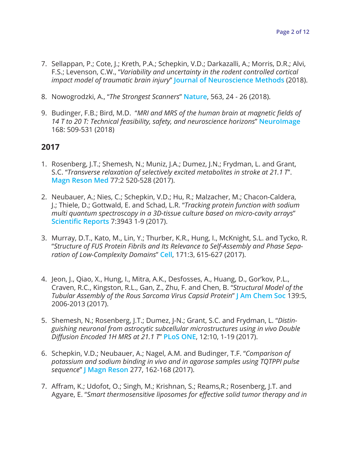- 7. Sellappan, P.; Cote, J.; Kreth, P.A.; Schepkin, V.D.; Darkazalli, A.; Morris, D.R.; Alvi, F.S.; Levenson, C.W., "*Variability and uncertainty in the rodent controlled cortical impact model of traumatic brain injury*" **Journal of Neuroscience Methods** (2018).
- 8. Nowogrodzki, A., "*The Strongest Scanners*" **Nature**, 563, 24 26 (2018).
- 9. Budinger, F.B.; Bird, M.D. "*MRI and MRS of the human brain at magnetic fields of 14 T to 20 T: Technical feasibility, safety, and neuroscience horizons*" **NeuroImage** 168: 509-531 (2018)

- 1. Rosenberg, J.T.; Shemesh, N.; Muniz, J.A.; Dumez, J.N.; Frydman, L. and Grant, S.C. "*Transverse relaxation of selectively excited metabolites in stroke at 21.1 T*". **Magn Reson Med** 77:2 520-528 (2017).
- 2. Neubauer, A.; Nies, C.; Schepkin, V.D.; Hu, R.; Malzacher, M.; Chacon-Caldera, J.; Thiele, D.; Gottwald, E. and Schad, L.R. "*Tracking protein function with sodium multi quantum spectroscopy in a 3D-tissue culture based on micro-cavity arrays*" **Scientific Reports** 7:3943 1-9 (2017).
- 3. Murray, D.T., Kato, M., Lin, Y.; Thurber, K.R., Hung, I., McKnight, S.L. and Tycko, R. "*Structure of FUS Protein Fibrils and Its Relevance to Self-Assembly and Phase Separation of Low-Complexity Domains*" **Cell**, 171:3, 615-627 (2017).
- 4. Jeon, J., Qiao, X., Hung, I., Mitra, A.K., Desfosses, A., Huang, D., Gor'kov, P.L., Craven, R.C., Kingston, R.L., Gan, Z., Zhu, F. and Chen, B. "*Structural Model of the Tubular Assembly of the Rous Sarcoma Virus Capsid Protein*" **J Am Chem Soc** 139:5, 2006-2013 (2017).
- 5. Shemesh, N.; Rosenberg, J.T.; Dumez, J-N.; Grant, S.C. and Frydman, L. "*Distinguishing neuronal from astrocytic subcellular microstructures using in vivo Double Diffusion Encoded 1H MRS at 21.1 T*" **PLoS ONE**, 12:10, 1-19 (2017).
- 6. Schepkin, V.D.; Neubauer, A.; Nagel, A.M. and Budinger, T.F. "*Comparison of potassium and sodium binding in vivo and in agarose samples using TQTPPI pulse sequence*" **J Magn Reson** 277, 162-168 (2017).
- 7. Affram, K.; Udofot, O.; Singh, M.; Krishnan, S.; Reams,R.; Rosenberg, J.T. and Agyare, E. "*Smart thermosensitive liposomes for effective solid tumor therapy and in*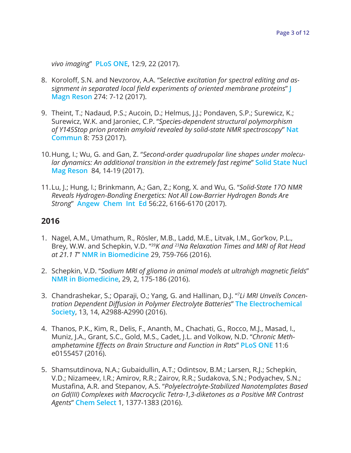*vivo imaging*" **PLoS ONE**, 12:9, 22 (2017).

- 8. Koroloff, S.N. and Nevzorov, A.A. "*Selective excitation for spectral editing and assignment in separated local field experiments of oriented membrane proteins*" **J Magn Reson** 274: 7-12 (2017).
- 9. Theint, T.; Nadaud, P.S.; Aucoin, D.; Helmus, J.J.; Pondaven, S.P.; Surewicz, K.; Surewicz, W.K. and Jaroniec, C.P. "*Species-dependent structural polymorphism of Y145Stop prion protein amyloid revealed by solid-state NMR spectroscopy*" **Nat Commun** 8: 753 (2017).
- 10.Hung, I.; Wu, G. and Gan, Z. "*Second-order quadrupolar line shapes under molecular dynamics: An additional transition in the extremely fast regime*" **Solid State Nucl Mag Reson** 84, 14-19 (2017).
- 11.Lu, J.; Hung, I.; Brinkmann, A.; Gan, Z.; Kong, X. and Wu, G. "*Solid-State 17O NMR Reveals Hydrogen-Bonding Energetics: Not All Low-Barrier Hydrogen Bonds Are Strong*" **Angew Chem Int Ed** 56:22, 6166-6170 (2017).

- 1. Nagel, A.M., Umathum, R., Rösler, M.B., Ladd, M.E., Litvak, I.M., Gor'kov, P.L., Brey, W.W. and Schepkin, V.D. "*39K and 23Na Relaxation Times and MRI of Rat Head at 21.1 T*" **NMR in Biomedicine** 29, 759-766 (2016).
- 2. Schepkin, V.D. "*Sodium MRI of glioma in animal models at ultrahigh magnetic fields*" **NMR in Biomedicine**, 29, 2, 175-186 (2016).
- 3. Chandrashekar, S.; Oparaji, O.; Yang, G. and Hallinan, D.J. "*<sup>7</sup> Li MRI Unveils Concentration Dependent Diffusion in Polymer Electrolyte Batteries*" **The Electrochemical Society**, 13, 14, A2988-A2990 (2016).
- 4. Thanos, P.K., Kim, R., Delis, F., Ananth, M., Chachati, G., Rocco, M.J., Masad, I., Muniz, J.A., Grant, S.C., Gold, M.S., Cadet, J.L. and Volkow, N.D. "*Chronic Methamphetamine Effects on Brain Structure and Function in Rats*" **PLoS ONE** 11:6 e0155457 (2016).
- 5. Shamsutdinova, N.A.; Gubaidullin, A.T.; Odintsov, B.M.; Larsen, R.J.; Schepkin, V.D.; Nizameev, I.R.; Amirov, R.R.; Zairov, R.R.; Sudakova, S.N.; Podyachev, S.N.; Mustafina, A.R. and Stepanov, A.S. "*Polyelectrolyte-Stabilized Nanotemplates Based on Gd(III) Complexes with Macrocyclic Tetra-1,3-diketones as a Positive MR Contrast Agents*" **Chem Select** 1, 1377-1383 (2016).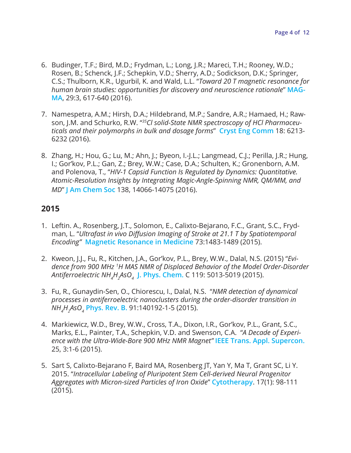- 6. Budinger, T.F.; Bird, M.D.; Frydman, L.; Long, J.R.; Mareci, T.H.; Rooney, W.D.; Rosen, B.; Schenck, J.F.; Schepkin, V.D.; Sherry, A.D.; Sodickson, D.K.; Springer, C.S.; Thulborn, K.R., Ugurbil, K. and Wald, L.L. "*Toward 20 T magnetic resonance for human brain studies: opportunities for discovery and neuroscience rationale*" **MAG-MA**, 29:3, 617-640 (2016).
- 7. Namespetra, A.M.; Hirsh, D.A.; Hildebrand, M.P.; Sandre, A.R.; Hamaed, H.; Rawson, J.M. and Schurko, R.W. "*35Cl solid-State NMR spectroscopy of HCl Pharmaceuticals and their polymorphs in bulk and dosage forms*" **Cryst Eng Comm** 18: 6213- 6232 (2016).
- 8. Zhang, H.; Hou, G.; Lu, M.; Ahn, J.; Byeon, I.-J.L.; Langmead, C.J.; Perilla, J.R.; Hung, I.; Gor'kov, P.L.; Gan, Z.; Brey, W.W.; Case, D.A.; Schulten, K.; Gronenborn, A.M. and Polenova, T., "*HIV-1 Capsid Function Is Regulated by Dynamics: Quantitative. Atomic-Resolution Insights by Integrating Magic-Angle-Spinning NMR, QM/MM, and MD*" **J Am Chem Soc** 138, 14066-14075 (2016).

- 1. Leftin. A., Rosenberg, J.T., Solomon, E., Calixto-Bejarano, F.C., Grant, S.C., Frydman, L. "*Ultrafast in vivo Diffusion Imaging of Stroke at 21.1 T by Spatiotemporal Encoding"* **Magnetic Resonance in Medicine** 73:1483-1489 (2015).
- 2. Kweon, J.J., Fu, R., Kitchen, J.A., Gor'kov, P.L., Brey, W.W., Dalal, N.S. (2015) "*Evidence from 900 MHz 1 H MAS NMR of Displaced Behavior of the Model Order-Disorder Antiferroelectric NH<sup>4</sup> H2 AsO4* **J. Phys. Chem.** C 119: 5013-5019 (2015).
- 3. Fu, R., Gunaydin-Sen, O., Chiorescu, I., Dalal, N.S. "*NMR detection of dynamical processes in antiferroelectric nanoclusters during the order-disorder transition in NH<sup>4</sup> H2 AsO4* **Phys. Rev. B.** 91:140192-1-5 (2015).
- 4. Markiewicz, W.D., Brey, W.W., Cross, T.A., Dixon, I.R., Gor'kov, P.L., Grant, S.C., Marks, E.L., Painter, T.A., Schepkin, V.D. and Swenson, C.A. "*A Decade of Experience with the Ultra-Wide-Bore 900 MHz NMR Magnet"* **IEEE Trans. Appl. Supercon.** 25, 3:1-6 (2015).
- 5. Sart S, Calixto-Bejarano F, Baird MA, Rosenberg JT, Yan Y, Ma T, Grant SC, Li Y. 2015. "*Intracellular Labeling of Pluripotent Stem Cell-derived Neural Progenitor Aggregates with Micron-sized Particles of Iron Oxide*" **Cytotherapy**. 17(1): 98-111 (2015).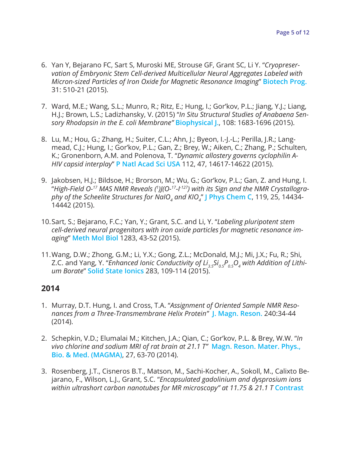- 6. Yan Y, Bejarano FC, Sart S, Muroski ME, Strouse GF, Grant SC, Li Y. "*Cryopreservation of Embryonic Stem Cell-derived Multicellular Neural Aggregates Labeled with Micron-sized Particles of Iron Oxide for Magnetic Resonance Imaging*" **Biotech Prog.** 31: 510-21 (2015).
- 7. Ward, M.E.; Wang, S.L.; Munro, R.; Ritz, E.; Hung, I.; Gor'kov, P.L.; Jiang, Y.J.; Liang, H.J.; Brown, L.S.; Ladizhansky, V. (2015) "*In Situ Structural Studies of Anabaena Sensory Rhodopsin in the E. coli Membrane"* **Biophysical J.**, 108: 1683-1696 (2015).
- 8. Lu, M.; Hou, G.; Zhang, H.; Suiter, C.L.; Ahn, J.; Byeon, I.-J.-L.; Perilla, J.R.; Langmead, C.J.; Hung, I.; Gor'kov, P.L.; Gan, Z.; Brey, W.; Aiken, C.; Zhang, P.; Schulten, K.; Gronenborn, A.M. and Polenova, T. "*Dynamic allostery governs cyclophilin A-HIV capsid interplay*" **P Natl Acad Sci USA** 112, 47, 14617-14622 (2015).
- 9. Jakobsen, H.J.; Bildsoe, H.; Brorson, M.; Wu, G.; Gor'kov, P.L.; Gan, Z. and Hung, I. "*High-Field O-17 MAS NMR Reveals (<sup>1</sup> )J(O-17-I-127) with its Sign and the NMR Crystallography of the Scheelite Structures for NaIO<sup>4</sup> and KIO4* " **J Phys Chem C**, 119, 25, 14434- 14442 (2015).
- 10.Sart, S.; Bejarano, F.C.; Yan, Y.; Grant, S.C. and Li, Y. "*Labeling pluripotent stem cell-derived neural progenitors with iron oxide particles for magnetic resonance imaging*" **Meth Mol Biol** 1283, 43-52 (2015).
- 11.Wang, D.W.; Zhong, G.M.; Li, Y.X.; Gong, Z.L.; McDonald, M.J.; Mi, J.X.; Fu, R.; Shi, Z.C. and Yang, Y. "*Enhanced Ionic Conductivity of Li3.5Si0.5P0.5O4 with Addition of Lithium Borate*" **Solid State Ionics** 283, 109-114 (2015).

- 1. Murray, D.T. Hung, I. and Cross, T.A. "*Assignment of Oriented Sample NMR Resonances from a Three-Transmembrane Helix Protein"* **J. Magn. Reson.** 240:34-44 (2014).
- 2. Schepkin, V.D.; Elumalai M.; Kitchen, J.A.; Qian, C.; Gor'kov, P.L. & Brey, W.W. "*In vivo chlorine and sodium MRI of rat brain at 21.1 T"* **Magn. Reson. Mater. Phys., Bio. & Med. (MAGMA)**, 27, 63-70 (2014).
- 3. Rosenberg, J.T., Cisneros B.T., Matson, M., Sachi-Kocher, A., Sokoll, M., Calixto Bejarano, F., Wilson, L.J., Grant, S.C. "*Encapsulated gadolinium and dysprosium ions within ultrashort carbon nanotubes for MR microscopy" at 11.75 & 21.1 T* **Contrast**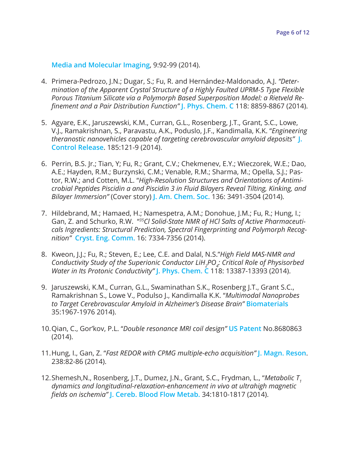#### **Media and Molecular Imaging**, 9:92-99 (2014).

- 4. Primera-Pedrozo, J.N.; Dugar, S.; Fu, R. and Hernández-Maldonado, A.J. *"Determination of the Apparent Crystal Structure of a Highly Faulted UPRM-5 Type Flexible Porous Titanium Silicate via a Polymorph Based Superposition Model: a Rietveld Refinement and a Pair Distribution Function"* **J. Phys. Chem. C** 118: 8859-8867 (2014).
- 5. Agyare, E.K., Jaruszewski, K.M., Curran, G.L., Rosenberg, J.T., Grant, S.C., Lowe, V.J., Ramakrishnan, S., Paravastu, A.K., Poduslo, J.F., Kandimalla, K.K. "*Engineering theranostic nanovehicles capable of targeting cerebrovascular amyloid deposits"* **J. Control Release**. 185:121-9 (2014).
- 6. Perrin, B.S. Jr.; Tian, Y; Fu, R.; Grant, C.V.; Chekmenev, E.Y.; Wieczorek, W.E.; Dao, A.E.; Hayden, R.M.; Burzynski, C.M.; Venable, R.M.; Sharma, M.; Opella, S.J.; Pastor, R.W.; and Cotten, M.L. "*High-Resolution Structures and Orientations of Antimicrobial Peptides Piscidin a and Piscidin 3 in Fluid Bilayers Reveal Tilting, Kinking, and Bilayer Immersion"* (Cover story) **J. Am. Chem. Soc.** 136: 3491-3504 (2014).
- 7. Hildebrand, M.; Hamaed, H.; Namespetra, A.M.; Donohue, J.M.; Fu, R.; Hung, I.; Gan, Z. and Schurko, R.W. "*35Cl Solid-State NMR of HCl Salts of Active Pharmaceuticals Ingredients: Structural Prediction, Spectral Fingerprinting and Polymorph Recognition"* **Cryst. Eng. Comm.** 16: 7334-7356 (2014).
- 8. Kweon, J.J.; Fu, R.; Steven, E.; Lee, C.E. and Dalal, N.S."*High Field MAS-NMR and Conductivity Study of the Superionic Conductor LiH2 PO4 : Critical Role of Physisorbed Water in Its Protonic Conductivity"* **J. Phys. Chem. C** 118: 13387-13393 (2014).
- 9. Jaruszewski, K.M., Curran, G.L., Swaminathan S.K., Rosenberg J.T., Grant S.C., Ramakrishnan S., Lowe V., Podulso J., Kandimalla K.K. "*Multimodal Nanoprobes to Target Cerebrovascular Amyloid in Alzheimer's Disease Brain"* **Biomaterials** 35:1967-1976 2014).
- 10.Qian, C., Gor'kov, P.L. "*Double resonance MRI coil design"* **US Patent** No.8680863 (2014).
- 11.Hung, I., Gan, Z. "*Fast REDOR with CPMG multiple-echo acquisition"* **J. Magn. Reson**. 238:82-86 (2014).
- 12.Shemesh,N., Rosenberg, J.T., Dumez, J.N., Grant, S.C., Frydman, L., "*Metabolic T<sup>1</sup> dynamics and longitudinal-relaxation-enhancement in vivo at ultrahigh magnetic fields on ischemia"* **J. Cereb. Blood Flow Metab.** 34:1810-1817 (2014).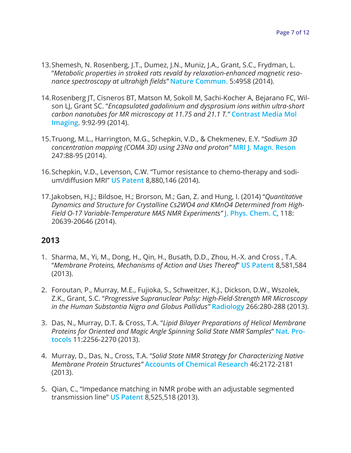- 13.Shemesh, N. Rosenberg, J.T., Dumez, J.N., Muniz, J.A., Grant, S.C., Frydman, L. "*Metabolic properties in stroked rats revald by relaxation-enhanced magnetic resonance spectroscopy at ultrahigh fields"* **Nature Commun.** 5:4958 (2014).
- 14.Rosenberg JT, Cisneros BT, Matson M, Sokoll M, Sachi-Kocher A, Bejarano FC, Wilson LJ, Grant SC. "*Encapsulated gadolinium and dysprosium ions within ultra-short carbon nanotubes for MR microscopy at 11.75 and 21.1 T."* **Contrast Media Mol Imaging**. 9:92-99 (2014).
- 15.Truong, M.L., Harrington, M.G., Schepkin, V.D., & Chekmenev, E.Y. "*Sodium 3D concentration mapping (COMA 3D) using 23Na and proton"* **MRI J. Magn. Reson** 247:88-95 (2014).
- 16.Schepkin, V.D., Levenson, C.W. "Tumor resistance to chemo-therapy and sodium/diffusion MRI" **US Patent** 8,880,146 (2014).
- 17.Jakobsen, H.J.; Bildsoe, H.; Brorson, M.; Gan, Z. and Hung, I. (2014) "*Quantitative Dynamics and Structure for Crystalline Cs2WO4 and KMnO4 Determined from High-Field O-17 Variable-Temperature MAS NMR Experiments"* **J. Phys. Chem. C**, 118: 20639-20646 (2014).

- 1. Sharma, M., Yi, M., Dong, H., Qin, H., Busath, D.D., Zhou, H.-X. and Cross , T.A. "*Membrane Proteins, Mechanisms of Action and Uses Thereof*" **US Patent** 8,581,584 (2013).
- 2. Foroutan, P., Murray, M.E., Fujioka, S., Schweitzer, K.J., Dickson, D.W., Wszolek, Z.K., Grant, S.C. "*Progressive Supranuclear Palsy: High-Field-Strength MR Microscopy in the Human Substantia Nigra and Globus Pallidus"* **Radiology** 266:280-288 (2013).
- 3. Das, N., Murray, D.T. & Cross, T.A. "*Lipid Bilayer Preparations of Helical Membrane Proteins for Oriented and Magic Angle Spinning Solid State NMR Samples*" **Nat. Protocols** 11:2256-2270 (2013).
- 4. Murray, D., Das, N., Cross, T.A. "*Solid State NMR Strategy for Characterizing Native Membrane Protein Structures"* **Accounts of Chemical Research** 46:2172-2181 (2013).
- 5. Qian, C., "Impedance matching in NMR probe with an adjustable segmented transmission line" **US Patent** 8,525,518 (2013).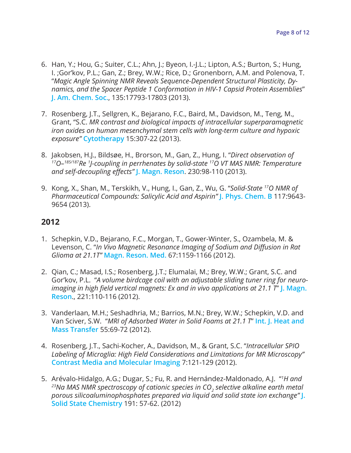- 6. Han, Y.; Hou, G.; Suiter, C.L.; Ahn, J.; Byeon, I.-J.L.; Lipton, A.S.; Burton, S.; Hung, I. ;Gor'kov, P.L.; Gan, Z.; Brey, W.W.; Rice, D.; Gronenborn, A.M. and Polenova, T. "*Magic Angle Spinning NMR Reveals Sequence-Dependent Structural Plasticity, Dynamics, and the Spacer Peptide 1 Conformation in HIV-1 Capsid Protein Assemblies*" **J. Am. Chem. Soc.**, 135:17793-17803 (2013).
- 7. Rosenberg, J.T., Sellgren, K., Bejarano, F.C., Baird, M., Davidson, M., Teng, M., Grant, "S.C. *MR contrast and biological impacts of intracellular superparamagnetic iron oxides on human mesenchymal stem cells with long-term culture and hypoxic exposure"* **Cytotherapy** 15:307-22 (2013).
- 8. Jakobsen, H.J., Bildsøe, H., Brorson, M., Gan, Z., Hung, I. "*Direct observation of <sup>17</sup>O–185/187Re 1 J-coupling in perrhenates by solid-state 17O VT MAS NMR: Temperature and self-decoupling effects"* **J. Magn. Reson**. 230:98-110 (2013).
- 9. Kong, X., Shan, M., Terskikh, V., Hung, I., Gan, Z., Wu, G. "*Solid-State 17O NMR of Pharmaceutical Compounds: Salicylic Acid and Aspirin"* **J. Phys. Chem. B** 117:9643- 9654 (2013).

- 1. Schepkin, V.D., Bejarano, F.C., Morgan, T., Gower-Winter, S., Ozambela, M. & Levenson, C. "*In Vivo Magnetic Resonance Imaging of Sodium and Diffusion in Rat Glioma at 21.1T"* **Magn. Reson. Med.** 67:1159-1166 (2012).
- 2. Qian, C.; Masad, I.S.; Rosenberg, J.T.; Elumalai, M.; Brey, W.W.; Grant, S.C. and Gor'kov, P.L. "*A volume birdcage coil with an adjustable sliding tuner ring for neuroimaging in high field vertical magnets: Ex and in vivo applications at 21.1 T*" **J. Magn. Reson**., 221:110-116 (2012).
- 3. Vanderlaan, M.H.; Seshadhria, M.; Barrios, M.N.; Brey, W.W.; Schepkin, V.D. and Van Sciver, S.W. "*MRI of Adsorbed Water in Solid Foams at 21.1 T*" **Int. J. Heat and Mass Transfer** 55:69-72 (2012).
- 4. Rosenberg, J.T., Sachi-Kocher, A., Davidson, M., & Grant, S.C. "*Intracellular SPIO Labeling of Microglia: High Field Considerations and Limitations for MR Microscopy"* **Contrast Media and Molecular Imaging** 7:121-129 (2012).
- 5. Arévalo-Hidalgo, A.G.; Dugar, S.; Fu, R. and Hernández-Maldonado, A.J. "*<sup>1</sup> H and <sup>23</sup>Na MAS NMR spectroscopy of cationic species in CO<sup>2</sup> selective alkaline earth metal porous silicoaluminophosphates prepared via liquid and solid state ion exchange"* **J. Solid State Chemistry** 191: 57-62. (2012)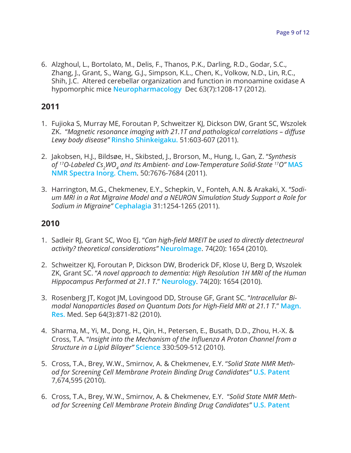6. Alzghoul, L., Bortolato, M., Delis, F., Thanos, P.K., Darling, R.D., Godar, S.C., Zhang, J., Grant, S., Wang, G.J., Simpson, K.L., Chen, K., Volkow, N.D., Lin, R.C., Shih, J.C. Altered cerebellar organization and function in monoamine oxidase A hypomorphic mice **Neuropharmacology** Dec 63(7):1208-17 (2012).

### **2011**

- 1. Fujioka S, Murray ME, Foroutan P, Schweitzer KJ, Dickson DW, Grant SC, Wszolek ZK. "*Magnetic resonance imaging with 21.1T and pathological correlations – diffuse Lewy body disease"* **Rinsho Shinkeigaku.** 51:603-607 (2011).
- 2. Jakobsen, H.J., Bildsøe, H., Skibsted, J., Brorson, M., Hung, I., Gan, Z. "*Synthesis of 17O-Labeled Cs2 WO<sup>4</sup> and Its Ambient- and Low-Temperature Solid-State 17O"* **MAS NMR Spectra Inorg. Chem**. 50:7676-7684 (2011).
- 3. Harrington, M.G., Chekmenev, E.Y., Schepkin, V., Fonteh, A.N. & Arakaki, X. "*Sodium MRI in a Rat Migraine Model and a NEURON Simulation Study Support a Role for Sodium in Migraine"* **Cephalagia** 31:1254-1265 (2011).

- 1. Sadleir RJ, Grant SC, Woo EJ. "*Can high-field MREIT be used to directly detectneural activity? theoretical considerations"* **NeuroImage**. 74(20): 1654 (2010).
- 2. Schweitzer KJ, Foroutan P, Dickson DW, Broderick DF, Klose U, Berg D, Wszolek ZK, Grant SC. "*A novel approach to dementia: High Resolution 1H MRI of the Human Hippocampus Performed at 21.1 T*." **Neurology**. 74(20): 1654 (2010).
- 3. Rosenberg JT, Kogot JM, Lovingood DD, Strouse GF, Grant SC. "*Intracellular Bimodal Nanoparticles Based on Quantum Dots for High-Field MRI at 21.1 T*." **Magn. Res.** Med. Sep 64(3):871-82 (2010).
- 4. Sharma, M., Yi, M., Dong, H., Qin, H., Petersen, E., Busath, D.D., Zhou, H.-X. & Cross, T.A. "*Insight into the Mechanism of the Influenza A Proton Channel from a Structure in a Lipid Bilayer"* **Science** 330:509-512 (2010).
- 5. Cross, T.A., Brey, W.W., Smirnov, A. & Chekmenev, E.Y. "*Solid State NMR Method for Screening Cell Membrane Protein Binding Drug Candidates"* **U.S. Patent**  7,674,595 (2010).
- 6. Cross, T.A., Brey, W.W., Smirnov, A. & Chekmenev, E.Y. "*Solid State NMR Method for Screening Cell Membrane Protein Binding Drug Candidates"* **U.S. Patent**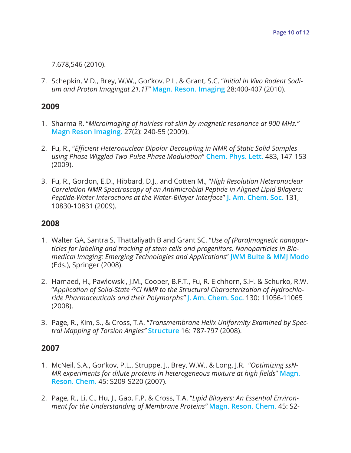7,678,546 (2010).

7. Schepkin, V.D., Brey, W.W., Gor'kov, P.L. & Grant, S.C. "*Initial In Vivo Rodent Sodium and Proton Imagingat 21.1T"* **Magn. Reson. Imaging** 28:400-407 (2010).

#### **2009**

- 1. Sharma R. "*Microimaging of hairless rat skin by magnetic resonance at 900 MHz."* **Magn Reson Imaging.** 27(2): 240-55 (2009).
- 2. Fu, R., "*Efficient Heteronuclear Dipolar Decoupling in NMR of Static Solid Samples using Phase-Wiggled Two-Pulse Phase Modulation*" **Chem. Phys. Lett.** 483, 147-153 (2009).
- 3. Fu, R., Gordon, E.D., Hibbard, D.J., and Cotten M., "*High Resolution Heteronuclear Correlation NMR Spectroscopy of an Antimicrobial Peptide in Aligned Lipid Bilayers: Peptide-Water Interactions at the Water-Bilayer Interface*" **J. Am. Chem. Soc.** 131, 10830-10831 (2009).

#### **2008**

- 1. Walter GA, Santra S, Thattaliyath B and Grant SC. "*Use of (Para)magnetic nanoparticles for labeling and tracking of stem cells and progenitors. Nanoparticles in Biomedical Imaging: Emerging Technologies and Applications*" **JWM Bulte & MMJ Modo** (Eds.), Springer (2008).
- 2. Hamaed, H., Pawlowski, J.M., Cooper, B.F.T., Fu, R. Eichhorn, S.H. & Schurko, R.W. "*Application of Solid-State 35Cl NMR to the Structural Characterization of Hydrochloride Pharmaceuticals and their Polymorphs"* **J. Am. Chem. Soc.** 130: 11056-11065 (2008).
- 3. Page, R., Kim, S., & Cross, T.A. "*Transmembrane Helix Uniformity Examined by Spectral Mapping of Torsion Angles"* **Structure** 16: 787-797 (2008).

- 1. McNeil, S.A., Gor'kov, P.L., Struppe, J., Brey, W.W., & Long, J.R. "*Optimizing ssN-MR experiments for dilute proteins in heterogeneous mixture at high fields*" **Magn. Reson. Chem.** 45: S209-S220 (2007).
- 2. Page, R., Li, C., Hu, J., Gao, F.P. & Cross, T.A. "*Lipid Bilayers: An Essential Environment for the Understanding of Membrane Proteins"* **Magn. Reson. Chem.** 45: S2-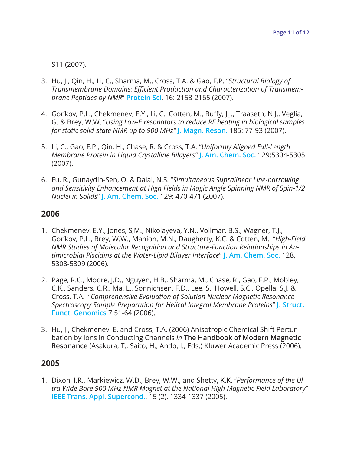#### S11 (2007).

- 3. Hu, J., Qin, H., Li, C., Sharma, M., Cross, T.A. & Gao, F.P. "*Structural Biology of Transmembrane Domains: Efficient Production and Characterization of Transmembrane Peptides by NMR*" **Protein Sci**. 16: 2153-2165 (2007).
- 4. Gor'kov, P.L., Chekmenev, E.Y., Li, C., Cotten, M., Buffy, J.J., Traaseth, N.J., Veglia, G. & Brey, W.W. "*Using Low-E resonators to reduce RF heating in biological samples for static solid-state NMR up to 900 MHz"* **J. Magn. Reson.** 185: 77-93 (2007).
- 5. Li, C., Gao, F.P., Qin, H., Chase, R. & Cross, T.A. "*Uniformly Aligned Full-Length Membrane Protein in Liquid Crystalline Bilayers"* **J. Am. Chem. Soc.** 129:5304-5305 (2007).
- 6. Fu, R., Gunaydin-Sen, O. & Dalal, N.S. "*Simultaneous Supralinear Line-narrowing and Sensitivity Enhancement at High Fields in Magic Angle Spinning NMR of Spin-1/2 Nuclei in Solids*" **J. Am. Chem. Soc.** 129: 470-471 (2007).

#### **2006**

- 1. Chekmenev, E.Y., Jones, S,M., Nikolayeva, Y.N., Vollmar, B.S., Wagner, T.J., Gor'kov, P.L., Brey, W.W., Manion, M.N., Daugherty, K.C. & Cotten, M. "*High-Field NMR Studies of Molecular Recognition and Structure-Function Relationships in Antimicrobial Piscidins at the Water-Lipid Bilayer Interface*" **J. Am. Chem. Soc.** 128, 5308-5309 (2006).
- 2. Page, R.C., Moore, J.D., Nguyen, H.B., Sharma, M., Chase, R., Gao, F.P., Mobley, C.K., Sanders, C.R., Ma, L., Sonnichsen, F.D., Lee, S., Howell, S.C., Opella, S.J. & Cross, T.A. "*Comprehensive Evaluation of Solution Nuclear Magnetic Resonance Spectroscopy Sample Preparation for Helical Integral Membrane Proteins*" **J. Struct. Funct. Genomics** 7:51-64 (2006).
- 3. Hu, J., Chekmenev, E. and Cross, T.A. (2006) Anisotropic Chemical Shift Perturbation by Ions in Conducting Channels *in* **The Handbook of Modern Magnetic Resonance** (Asakura, T., Saito, H., Ando, I., Eds.) Kluwer Academic Press (2006).

#### **2005**

1. Dixon, I.R., Markiewicz, W.D., Brey, W.W., and Shetty, K.K. "*Performance of the Ultra Wide Bore 900 MHz NMR Magnet at the National High Magnetic Field Laboratory*" **IEEE Trans. Appl. Supercond.**, 15 (2), 1334-1337 (2005).